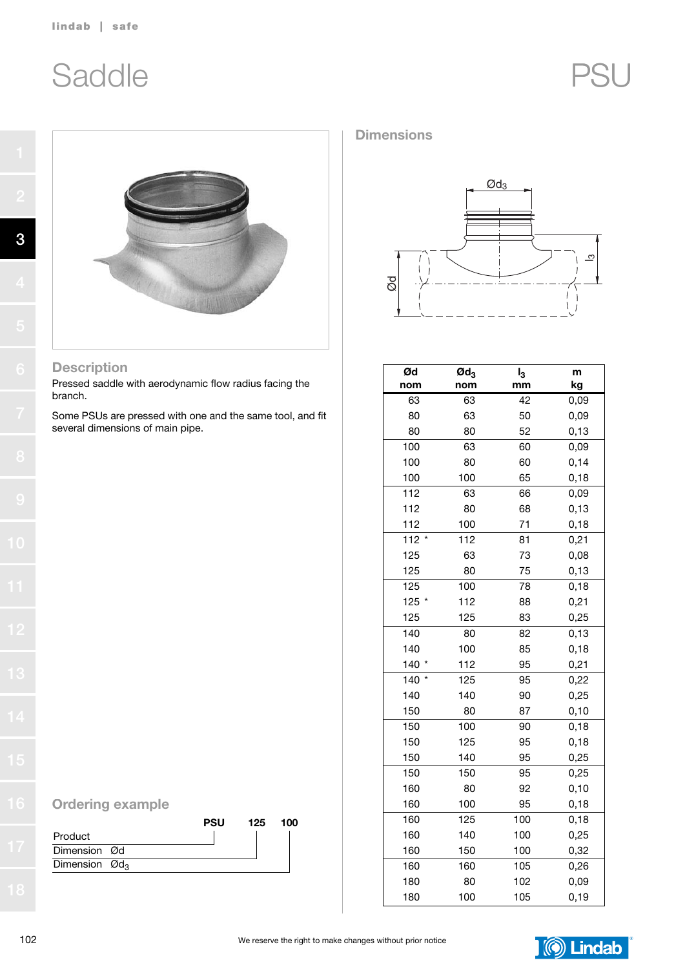# Saddle PSU



#### Description

3

Pressed saddle with aerodynamic flow radius facing the branch.

Some PSUs are pressed with one and the same tool, and fit several dimensions of main pipe.



#### Dimensions



| Ød             | $\boldsymbol{\text{Od}}_3$ | I <sub>3</sub> | m     |
|----------------|----------------------------|----------------|-------|
| nom            | nom                        | mm             | kg    |
| 63             | 63                         | 42             | 0,09  |
| 80             | 63                         | 50             | 0,09  |
| 80             | 80                         | 52             | 0, 13 |
| 100            | 63                         | 60             | 0,09  |
| 100            | 80                         | 60             | 0,14  |
| 100            | 100                        | 65             | 0,18  |
| 112            | 63                         | 66             | 0,09  |
| 112            | 80                         | 68             | 0,13  |
| 112            | 100                        | 71             | 0,18  |
| $112 *$        | 112                        | 81             | 0,21  |
| 125            | 63                         | 73             | 0,08  |
| 125            | 80                         | 75             | 0, 13 |
| 125            | 100                        | 78             | 0,18  |
| 125<br>$\star$ | 112                        | 88             | 0,21  |
| 125            | 125                        | 83             | 0,25  |
| 140            | 80                         | 82             | 0,13  |
| 140            | 100                        | 85             | 0, 18 |
| 140 *          | 112                        | 95             | 0,21  |
| 140            | 125                        | 95             | 0,22  |
| 140            | 140                        | 90             | 0,25  |
| 150            | 80                         | 87             | 0, 10 |
| 150            | 100                        | 90             | 0, 18 |
| 150            | 125                        | 95             | 0, 18 |
| 150            | 140                        | 95             | 0,25  |
| 150            | 150                        | 95             | 0,25  |
| 160            | 80                         | 92             | 0, 10 |
| 160            | 100                        | 95             | 0, 18 |
| 160            | 125                        | 100            | 0, 18 |
| 160            | 140                        | 100            | 0,25  |
| 160            | 150                        | 100            | 0,32  |
| 160            | 160                        | 105            | 0,26  |
| 180            | 80                         | 102            | 0,09  |
| 180            | 100                        | 105            | 0, 19 |

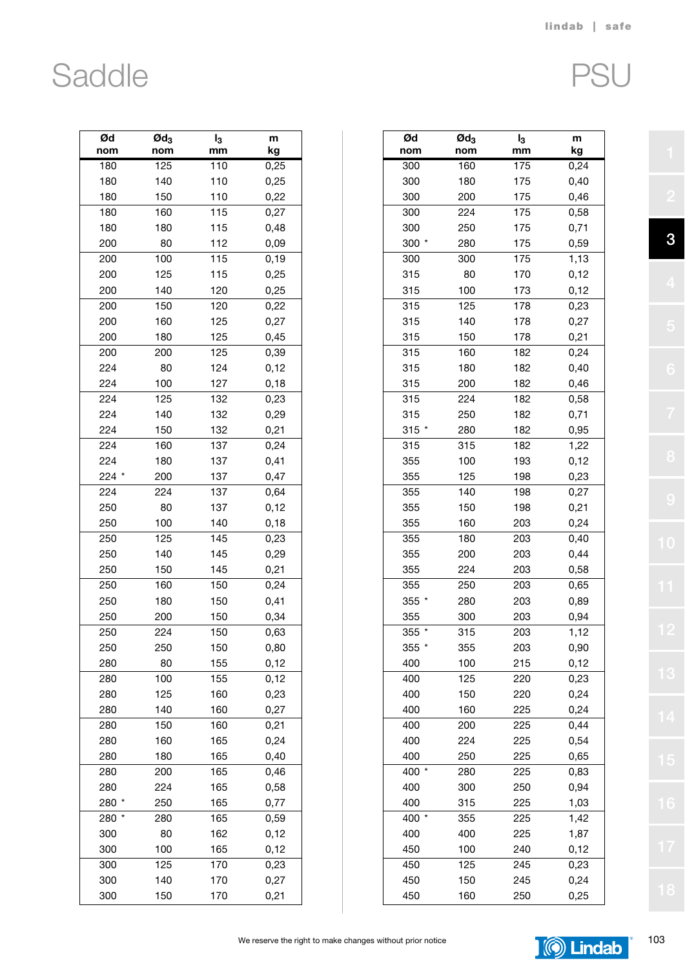### Saddle

|--|

| Ød<br>nom | $\boldsymbol{\mathsf{Qd}}_3$<br>nom | I <sub>3</sub><br>mm | m<br>kg |
|-----------|-------------------------------------|----------------------|---------|
|           |                                     | 110                  | 0,25    |
| 180       | 125                                 |                      |         |
| 180       | 140                                 | 110                  | 0,25    |
| 180       | 150                                 | 110                  | 0,22    |
| 180       | 160                                 | 115                  | 0,27    |
| 180       | 180                                 | 115                  | 0,48    |
| 200       | 80                                  | 112                  | 0,09    |
| 200       | 100                                 | 115                  | 0, 19   |
| 200       | 125                                 | 115                  | 0,25    |
| 200       | 140                                 | 120                  | 0,25    |
| 200       | 150                                 | 120                  | 0,22    |
| 200       | 160                                 | 125                  | 0,27    |
| 200       | 180                                 | 125                  | 0,45    |
| 200       | 200                                 | 125                  | 0,39    |
| 224       | 80                                  | 124                  | 0,12    |
| 224       | 100                                 | 127                  | 0, 18   |
| 224       | 125                                 | 132                  | 0,23    |
| 224       | 140                                 | 132                  | 0,29    |
| 224       | 150                                 | 132                  | 0,21    |
| 224       | 160                                 | 137                  | 0,24    |
| 224       | 180                                 | 137                  | 0,41    |
| 224 *     | 200                                 | 137                  | 0,47    |
| 224       | 224                                 | 137                  | 0,64    |
| 250       | 80                                  | 137                  | 0,12    |
| 250       | 100                                 | 140                  | 0, 18   |
| 250       | 125                                 | 145                  | 0,23    |
| 250       | 140                                 | 145                  | 0,29    |
| 250       | 150                                 | 145                  | 0,21    |
|           | 160                                 | 150                  |         |
| 250       |                                     |                      | 0,24    |
| 250       | 180                                 | 150                  | 0,41    |
| 250       | 200                                 | 150                  | 0,34    |
| 250       | 224                                 | 150                  | 0,63    |
| 250       | 250                                 | 150                  | 0,80    |
| 280       | 80                                  | 155                  | 0,12    |
| 280       | 100                                 | 155                  | 0,12    |
| 280       | 125                                 | 160                  | 0,23    |
| 280       | 140                                 | 160                  | 0,27    |
| 280       | 150                                 | 160                  | 0,21    |
| 280       | 160                                 | 165                  | 0,24    |
| 280       | 180                                 | 165                  | 0,40    |
| 280       | 200                                 | 165                  | 0,46    |
| 280       | 224                                 | 165                  | 0,58    |
| 280       | 250                                 | 165                  | 0,77    |
| 280       | 280                                 | 165                  | 0,59    |
| 300       | 80                                  | 162                  | 0,12    |
| 300       | 100                                 | 165                  | 0,12    |
| 300       | 125                                 | 170                  | 0,23    |
| 300       | 140                                 | 170                  | 0,27    |
| 300       | 150                                 | 170                  | 0,21    |

| Ød<br>nom | $\boldsymbol{\mathsf{Qd}}_3$<br>nom | $I_3$<br>mm | m<br>kg |
|-----------|-------------------------------------|-------------|---------|
| 300       | 160                                 | 175         | 0,24    |
| 300       | 180                                 | 175         | 0,40    |
| 300       | 200                                 | 175         | 0,46    |
| 300       | 224                                 | 175         | 0,58    |
| 300       | 250                                 | 175         | 0,71    |
| 300 *     | 280                                 | 175         | 0,59    |
| 300       | 300                                 | 175         | 1,13    |
| 315       | 80                                  | 170         | 0,12    |
| 315       | 100                                 | 173         | 0,12    |
|           |                                     |             |         |
| 315       | 125                                 | 178         | 0,23    |
| 315       | 140                                 | 178         | 0,27    |
| 315       | 150                                 | 178         | 0,21    |
| 315       | 160                                 | 182         | 0,24    |
| 315       | 180                                 | 182         | 0,40    |
| 315       | 200                                 | 182         | 0,46    |
| 315       | 224                                 | 182         | 0,58    |
| 315       | 250                                 | 182         | 0,71    |
| $315 *$   | 280                                 | 182         | 0,95    |
| 315       | 315                                 | 182         | 1,22    |
| 355       | 100                                 | 193         | 0,12    |
| 355       | 125                                 | 198         | 0,23    |
| 355       | 140                                 | 198         | 0,27    |
| 355       | 150                                 | 198         | 0,21    |
| 355       | 160                                 | 203         | 0,24    |
| 355       | 180                                 | 203         | 0,40    |
| 355       | 200                                 | 203         | 0,44    |
| 355       | 224                                 | 203         | 0,58    |
| 355       | 250                                 | 203         | 0,65    |
| 355 *     | 280                                 | 203         | 0,89    |
| 355       | 300                                 | 203         | 0,94    |
| 355 *     | 315                                 | 203         | 1,12    |
| 355       | 355                                 | 203         | 0,90    |
| 400       | 100                                 | 215         | 0,12    |
| 400       | 125                                 | 220         | 0,23    |
| 400       | 150                                 | 220         | 0,24    |
| 400       | 160                                 | 225         | 0,24    |
|           |                                     |             |         |
| 400       | 200                                 | 225         | 0,44    |
| 400       | 224                                 | 225         | 0,54    |
| 400       | 250                                 | 225         | 0,65    |
| 400 *     | 280                                 | 225         | 0,83    |
| 400       | 300                                 | 250         | 0,94    |
| 400       | 315                                 | 225         | 1,03    |
| 400 *     | 355                                 | 225         | 1,42    |
| 400       | 400                                 | 225         | 1,87    |
| 450       | 100                                 | 240         | 0,12    |
| 450       | 125                                 | 245         | 0,23    |
| 450       | 150                                 | 245         | 0,24    |
| 450       | 160                                 | 250         | 0,25    |
|           |                                     |             |         |

3